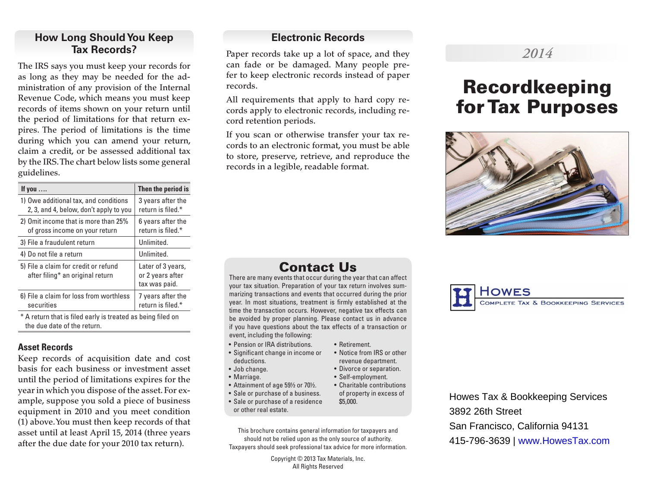## **How Long Should You Keep Tax Records?**

The IRS says you must keep your records for as long as they may be needed for the administration of any provision of the Internal Revenue Code, which means you must keep records of items shown on your return until the period of limitations for that return expires. The period of limitations is the time during which you can amend your return, claim a credit, or be assessed additional tax by the IRS. The chart below lists some general guidelines.

| If you $\ldots$                                                                 | Then the period is                                     |
|---------------------------------------------------------------------------------|--------------------------------------------------------|
| 1) Owe additional tax, and conditions<br>2, 3, and 4, below, don't apply to you | 3 years after the<br>return is filed.*                 |
| 2) Omit income that is more than 25%<br>of gross income on your return          | 6 years after the<br>return is filed.*                 |
| 3) File a fraudulent return                                                     | Unlimited.                                             |
| 4) Do not file a return                                                         | Unlimited.                                             |
| 5) File a claim for credit or refund<br>after filing* an original return        | Later of 3 years,<br>or 2 years after<br>tax was paid. |
| 6) File a claim for loss from worthless<br>securities                           | 7 years after the<br>return is filed.*                 |
|                                                                                 |                                                        |

\* A return that is filed early is treated as being filed on the due date of the return.

#### **Asset Records**

Keep records of acquisition date and cost basis for each business or investment asset until the period of limitations expires for the year in which you dispose of the asset. For example, suppose you sold a piece of business equipment in 2010 and you meet condition (1) above. You must then keep records of that asset until at least April 15, 2014 (three years after the due date for your 2010 tax return).

#### **Electronic Records**

Paper records take up a lot of space, and they can fade or be damaged. Many people prefer to keep electronic records instead of paper records.

All requirements that apply to hard copy records apply to electronic records, including record retention periods.

If you scan or otherwise transfer your tax records to an electronic format, you must be able to store, preserve, retrieve, and reproduce the records in a legible, readable format.

## Contact Us

There are many events that occur during the year that can affect your tax situation. Preparation of your tax return involves summarizing transactions and events that occurred during the prior year. In most situations, treatment is firmly established at the time the transaction occurs. However, negative tax effects can be avoided by proper planning. Please contact us in advance if you have questions about the tax effects of a transaction or event, including the following:

- Pension or IRA distributions.
- Significant change in income or deductions.
- Job change.
- Marriage.
- Attainment of age 59½ or 70½.
- Sale or purchase of a business.
- Sale or purchase of a residence or other real estate.

This brochure contains general information for taxpayers and should not be relied upon as the only source of authority. Taxpayers should seek professional tax advice for more information.

> Copyright © 2013 Tax Materials, Inc. All Rights Reserved

## *2014*

# Recordkeeping for Tax Purposes





Howes Tax & Bookkeeping Services 3892 26th Street San Francisco, California 94131 415-796-3639 | www.HowesTax.com

- revenue department. • Divorce or separation.
	- Self-employment.
	- Charitable contributions of property in excess of \$5,000.

• Retirement. • Notice from IRS or other